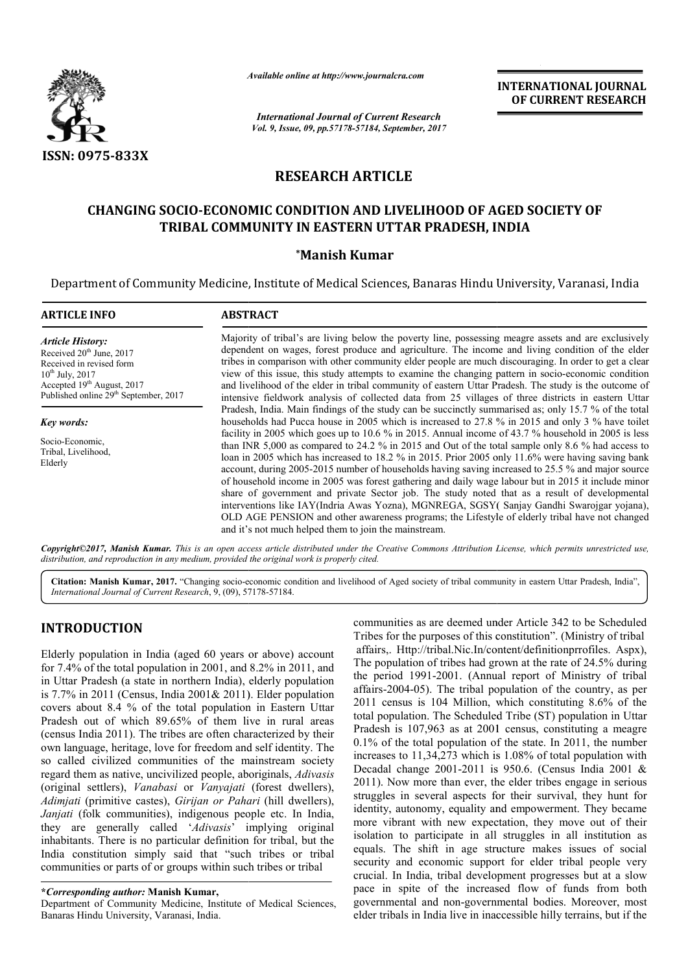

*Available online at http://www.journal http://www.journalcra.com*

*International Journal of Current Research Vol. 9, Issue, 09, pp.57178-57184, September, 2017* **INTERNATIONAL JOURNAL OF CURRENT RESEARCH** 

# **RESEARCH ARTICLE**

# **CHANGING SOCIO-ECONOMIC CONDITION AND LIVELIHOOD OF AGED SOCIETY OF TRIBAL COMMUNITY IN EASTERN UTTAR PRADESH, INDIA ECONOMIC CONDITION AND L**<br>L **COMMUNITY IN EASTERN UT**<br>Manish Kumar\* **EASTERN UTTAR**

Department of Community Medicine, Institute of Medical Sciences, Banaras Hindu University, Varanasi, India

| <b>ARTICLE INFO</b>                                                                                                                                                                                                                                                                          | <b>ABSTRACT</b>                                                                                                                                                                                                                                                                                                                                                                                                                                                                                                                                                                                                                                                                                                                                                                                                                                                                                                                                                                                                                                                                                |
|----------------------------------------------------------------------------------------------------------------------------------------------------------------------------------------------------------------------------------------------------------------------------------------------|------------------------------------------------------------------------------------------------------------------------------------------------------------------------------------------------------------------------------------------------------------------------------------------------------------------------------------------------------------------------------------------------------------------------------------------------------------------------------------------------------------------------------------------------------------------------------------------------------------------------------------------------------------------------------------------------------------------------------------------------------------------------------------------------------------------------------------------------------------------------------------------------------------------------------------------------------------------------------------------------------------------------------------------------------------------------------------------------|
| <b>Article History:</b><br>Received 20 <sup>th</sup> June, 2017<br>Received in revised form<br>$10^{th}$ July, 2017<br>Accepted 19 <sup>th</sup> August, 2017<br>Published online 29 <sup>th</sup> September, 2017<br><b>Key words:</b><br>Socio-Economic,<br>Tribal, Livelihood,<br>Elderly | Majority of tribal's are living below the poverty line, possessing meagre assets and are exclusively<br>dependent on wages, forest produce and agriculture. The income and living condition of the elder<br>tribes in comparison with other community elder people are much discouraging. In order to get a clear<br>view of this issue, this study attempts to examine the changing pattern in socio-economic condition<br>and livelihood of the elder in tribal community of eastern Uttar Pradesh. The study is the outcome of<br>intensive fieldwork analysis of collected data from 25 villages of three districts in eastern Uttar                                                                                                                                                                                                                                                                                                                                                                                                                                                       |
|                                                                                                                                                                                                                                                                                              | Pradesh, India. Main findings of the study can be succinctly summarised as; only 15.7 % of the total<br>households had Pucca house in 2005 which is increased to 27.8 % in 2015 and only 3 % have toilet<br>facility in 2005 which goes up to 10.6 % in 2015. Annual income of 43.7 % household in 2005 is less<br>than INR 5,000 as compared to 24.2 % in 2015 and Out of the total sample only 8.6 % had access to<br>loan in 2005 which has increased to 18.2 % in 2015. Prior 2005 only 11.6% were having saving bank<br>account, during 2005-2015 number of households having saving increased to 25.5 % and major source<br>of household income in 2005 was forest gathering and daily wage labour but in 2015 it include minor<br>share of government and private Sector job. The study noted that as a result of developmental<br>interventions like IAY(Indria Awas Yozna), MGNREGA, SGSY(Sanjay Gandhi Swarojgar yojana),<br>OLD AGE PENSION and other awareness programs; the Lifestyle of elderly tribal have not changed<br>and it's not much helped them to join the mainstream. |

*Copyright©2017, Manish Kumar. This is an open access article distributed under the Creative Commons Attribution License, which ribution permits unrestricted use, distribution, and reproduction in any medium, provided the original work is properly cited.*

Citation: Manish Kumar, 2017. "Changing socio-economic condition and livelihood of Aged society of tribal community in eastern Uttar Pradesh, India", *International Journal of Current Research*, 9, (09), 571 57178-57184.

# **INTRODUCTION**

Elderly population in India (aged 60 years or above) account for 7.4% of the total population in 2001, and 8.2% in 2011, and in Uttar Pradesh (a state in northern India), elderly population is 7.7% in 2011 (Census, India 2001& 2011). Elder population covers about 8.4 % of the total population in Eastern Uttar Pradesh out of which 89.65% of them live in rural areas (census India 2011). The tribes are often characterized by their own language, heritage, love for freedom and self identity. The so called civilized communities of the mainstream society regard them as native, uncivilized people, aboriginals, *Adivasis* (original settlers), *Vanabasi* or *Vanyajati* (forest dwellers), *Adimjati* (primitive castes), *Girijan or Pahari* (hill dwellers), *Janjati* (folk communities), indigenous people etc. In India, they are generally called '*Adivasis*' implying original inhabitants. There is no particular definition for tribal, but the India constitution simply said that "such tribes or tribal communities or parts of or groups within such tribes or tribal

communities as are deemed under Article 342 to be Scheduled Tribes for the purposes of this constitution". (Ministry of tribal affairs,. Http://tribal.Nic.In/content/definitionprrofiles. Aspx), The population of tribes had grown at the rate of 24.5% during the period 1991-2001. (Annual report of Ministry of tribal communities as are deemed under Article 342 to be Scheduled<br>Tribes for the purposes of this constitution". (Ministry of tribal<br>affairs, Http://tribal.Nic.In/content/definitionprrofiles. Aspx),<br>The population of tribes had  $2011$  census is 104 Million, which constituting 8.6% of the total population. The Scheduled Tribe (ST) population in Uttar Pradesh is 107,963 as at 2001 census, constituting a meagre 0.1% of the total population of the state. In 2011, the number increases to 11,34,273 which is 1,08% of total population with Decadal change 2001-2011 is 950.6. (Census India 2001 & 2011). Now more than ever, the elder tribes engage in serious struggles in several aspects for their survival, they hunt for identity, autonomy, equality and empowerment. They became more vibrant with new expectation, they move out of their isolation to participate in all struggles in all institution as equals. The shift in age structure makes issues of social security and economic support for elder tribal people very crucial. In India, tribal development progresses but at a slow pace in spite of the increased flow of funds from both governmental and non-governmental bodies. Moreover, most elder tribals in India live in inaccessible hilly terrains, but if the total population. The Scheduled Tribe (ST) population in Uttar Pradesh is  $107,963$  as at  $2001$  census, constituting a meagre 0.1% of the total population of the state. In  $2011$ , the number increases to  $11,34,273$  whic **EXPERIMATIONAL JOURNAL CONSTRANT CONSTRANT CONSTRANT CONSTRANT CONSTRANT CONSTRANT CONSTRANT CONSTRANT CONSTRANT CONSTRANT CONSTRANT CONSTRANT CONSTRANT CONSTRANT CONSTRANT CONSTRANT CONSTRANT CONSTRANT CONSTRANT CONSTRA** 

**<sup>\*</sup>***Corresponding author:* **Manish Kumar,**

Department of Community Medicine, Institute of Medical Sciences, Banaras Hindu University, Varanasi, India.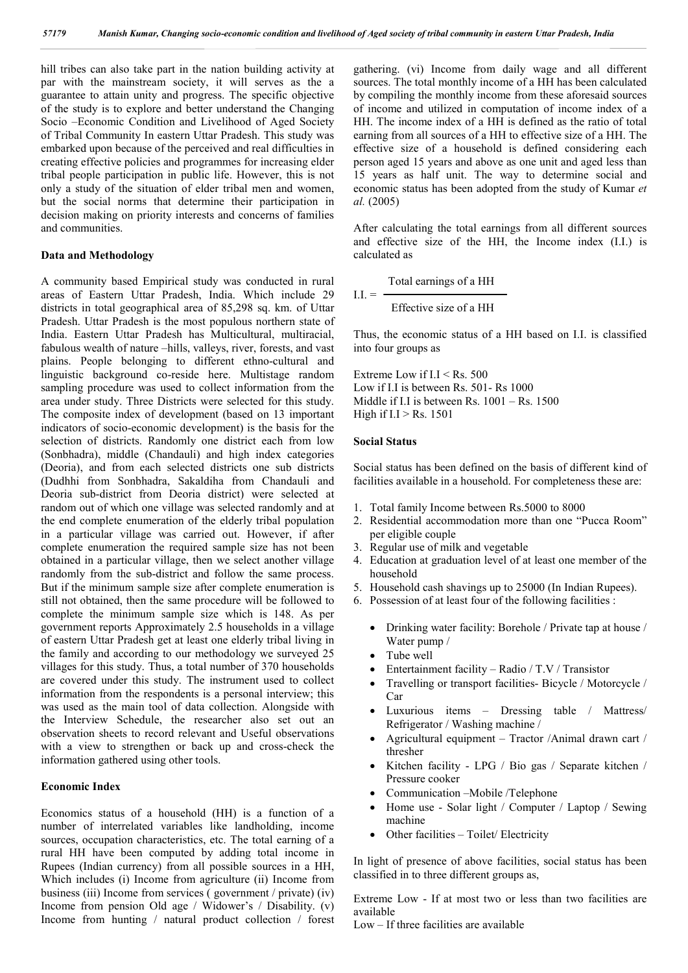hill tribes can also take part in the nation building activity at par with the mainstream society, it will serves as the a guarantee to attain unity and progress. The specific objective of the study is to explore and better understand the Changing Socio –Economic Condition and Livelihood of Aged Society of Tribal Community In eastern Uttar Pradesh. This study was embarked upon because of the perceived and real difficulties in creating effective policies and programmes for increasing elder tribal people participation in public life. However, this is not only a study of the situation of elder tribal men and women, but the social norms that determine their participation in decision making on priority interests and concerns of families and communities.

#### **Data and Methodology**

A community based Empirical study was conducted in rural areas of Eastern Uttar Pradesh, India. Which include 29 districts in total geographical area of 85,298 sq. km. of Uttar Pradesh. Uttar Pradesh is the most populous northern state of India. Eastern Uttar Pradesh has Multicultural, multiracial, fabulous wealth of nature –hills, valleys, river, forests, and vast plains. People belonging to different ethno-cultural and linguistic background co-reside here. Multistage random sampling procedure was used to collect information from the area under study. Three Districts were selected for this study. The composite index of development (based on 13 important indicators of socio-economic development) is the basis for the selection of districts. Randomly one district each from low (Sonbhadra), middle (Chandauli) and high index categories (Deoria), and from each selected districts one sub districts (Dudhhi from Sonbhadra, Sakaldiha from Chandauli and Deoria sub-district from Deoria district) were selected at random out of which one village was selected randomly and at the end complete enumeration of the elderly tribal population in a particular village was carried out. However, if after complete enumeration the required sample size has not been obtained in a particular village, then we select another village randomly from the sub-district and follow the same process. But if the minimum sample size after complete enumeration is still not obtained, then the same procedure will be followed to complete the minimum sample size which is 148. As per government reports Approximately 2.5 households in a village of eastern Uttar Pradesh get at least one elderly tribal living in the family and according to our methodology we surveyed 25 villages for this study. Thus, a total number of 370 households are covered under this study. The instrument used to collect information from the respondents is a personal interview; this was used as the main tool of data collection. Alongside with the Interview Schedule, the researcher also set out an observation sheets to record relevant and Useful observations with a view to strengthen or back up and cross-check the information gathered using other tools.

#### **Economic Index**

Economics status of a household (HH) is a function of a number of interrelated variables like landholding, income sources, occupation characteristics, etc. The total earning of a rural HH have been computed by adding total income in Rupees (Indian currency) from all possible sources in a HH, Which includes (i) Income from agriculture (ii) Income from business (iii) Income from services ( government / private) (iv) Income from pension Old age / Widower's / Disability. (v) Income from hunting / natural product collection / forest gathering. (vi) Income from daily wage and all different sources. The total monthly income of a HH has been calculated by compiling the monthly income from these aforesaid sources of income and utilized in computation of income index of a HH. The income index of a HH is defined as the ratio of total earning from all sources of a HH to effective size of a HH. The effective size of a household is defined considering each person aged 15 years and above as one unit and aged less than 15 years as half unit. The way to determine social and economic status has been adopted from the study of Kumar *et al.* (2005)

After calculating the total earnings from all different sources and effective size of the HH, the Income index (I.I.) is calculated as

Total earnings of a HH

 $I.I. = -$ Effective size of a HH

Thus, the economic status of a HH based on I.I. is classified into four groups as

Extreme Low if I.I < Rs. 500 Low if I.I is between Rs. 501- Rs 1000 Middle if I.I is between Rs. 1001 – Rs. 1500 High if  $I.I > Rs. 1501$ 

#### **Social Status**

Social status has been defined on the basis of different kind of facilities available in a household. For completeness these are:

- 1. Total family Income between Rs.5000 to 8000
- 2. Residential accommodation more than one "Pucca Room" per eligible couple
- 3. Regular use of milk and vegetable
- 4. Education at graduation level of at least one member of the household
- 5. Household cash shavings up to 25000 (In Indian Rupees).
- 6. Possession of at least four of the following facilities :
	- Drinking water facility: Borehole / Private tap at house / Water pump /
	- Tube well
	- Entertainment facility Radio / T.V / Transistor
	- Travelling or transport facilities- Bicycle / Motorcycle / Car
	- Luxurious items Dressing table / Mattress/ Refrigerator / Washing machine /
	- Agricultural equipment Tractor /Animal drawn cart / thresher
	- Kitchen facility LPG / Bio gas / Separate kitchen / Pressure cooker
	- Communication –Mobile /Telephone
	- Home use Solar light / Computer / Laptop / Sewing machine
	- Other facilities Toilet/ Electricity

In light of presence of above facilities, social status has been classified in to three different groups as,

Extreme Low - If at most two or less than two facilities are available

Low – If three facilities are available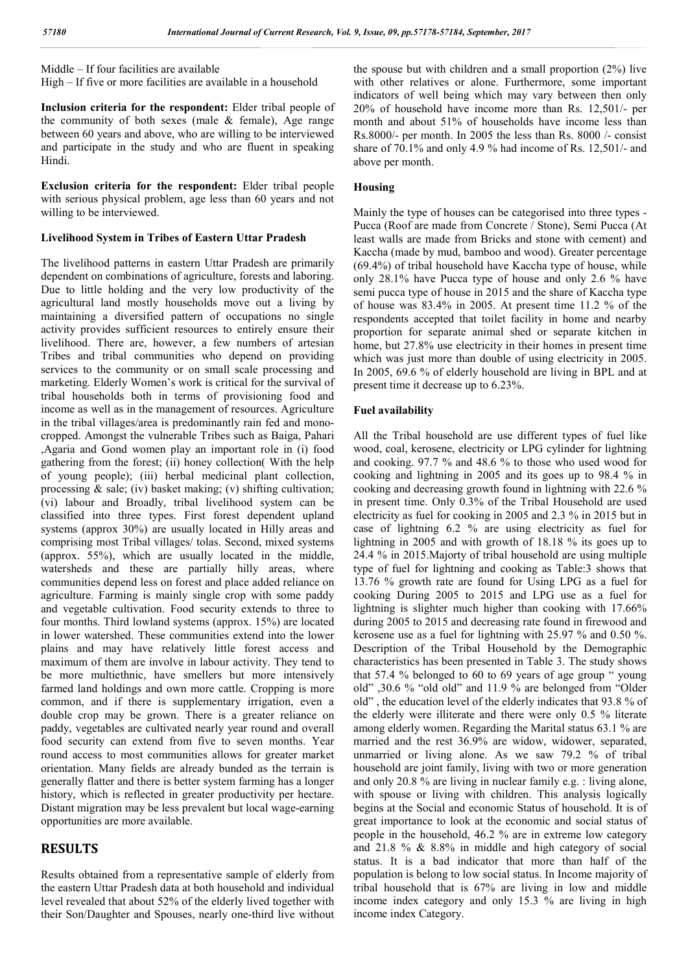Middle – If four facilities are available High – If five or more facilities are available in a household

**Inclusion criteria for the respondent:** Elder tribal people of the community of both sexes (male  $&$  female), Age range between 60 years and above, who are willing to be interviewed and participate in the study and who are fluent in speaking Hindi.

**Exclusion criteria for the respondent:** Elder tribal people with serious physical problem, age less than 60 years and not willing to be interviewed.

### **Livelihood System in Tribes of Eastern Uttar Pradesh**

The livelihood patterns in eastern Uttar Pradesh are primarily dependent on combinations of agriculture, forests and laboring. Due to little holding and the very low productivity of the agricultural land mostly households move out a living by maintaining a diversified pattern of occupations no single activity provides sufficient resources to entirely ensure their livelihood. There are, however, a few numbers of artesian Tribes and tribal communities who depend on providing services to the community or on small scale processing and marketing. Elderly Women's work is critical for the survival of tribal households both in terms of provisioning food and income as well as in the management of resources. Agriculture in the tribal villages/area is predominantly rain fed and monocropped. Amongst the vulnerable Tribes such as Baiga, Pahari ,Agaria and Gond women play an important role in (i) food gathering from the forest; (ii) honey collection( With the help of young people); (iii) herbal medicinal plant collection, processing  $\&$  sale; (iv) basket making; (v) shifting cultivation; (vi) labour and Broadly, tribal livelihood system can be classified into three types. First forest dependent upland systems (approx 30%) are usually located in Hilly areas and comprising most Tribal villages/ tolas. Second, mixed systems (approx. 55%), which are usually located in the middle, watersheds and these are partially hilly areas, where communities depend less on forest and place added reliance on agriculture. Farming is mainly single crop with some paddy and vegetable cultivation. Food security extends to three to four months. Third lowland systems (approx. 15%) are located in lower watershed. These communities extend into the lower plains and may have relatively little forest access and maximum of them are involve in labour activity. They tend to be more multiethnic, have smellers but more intensively farmed land holdings and own more cattle. Cropping is more common, and if there is supplementary irrigation, even a double crop may be grown. There is a greater reliance on paddy, vegetables are cultivated nearly year round and overall food security can extend from five to seven months. Year round access to most communities allows for greater market orientation. Many fields are already bunded as the terrain is generally flatter and there is better system farming has a longer history, which is reflected in greater productivity per hectare. Distant migration may be less prevalent but local wage-earning opportunities are more available.

# **RESULTS**

Results obtained from a representative sample of elderly from the eastern Uttar Pradesh data at both household and individual level revealed that about 52% of the elderly lived together with their Son/Daughter and Spouses, nearly one-third live without the spouse but with children and a small proportion (2%) live with other relatives or alone. Furthermore, some important indicators of well being which may vary between then only 20% of household have income more than Rs. 12,501/- per month and about 51% of households have income less than Rs.8000/- per month. In 2005 the less than Rs. 8000 /- consist share of 70.1% and only 4.9 % had income of Rs. 12,501/- and above per month.

## **Housing**

Mainly the type of houses can be categorised into three types - Pucca (Roof are made from Concrete / Stone), Semi Pucca (At least walls are made from Bricks and stone with cement) and Kaccha (made by mud, bamboo and wood). Greater percentage (69.4%) of tribal household have Kaccha type of house, while only 28.1% have Pucca type of house and only 2.6 % have semi pucca type of house in 2015 and the share of Kaccha type of house was 83.4% in 2005. At present time 11.2 % of the respondents accepted that toilet facility in home and nearby proportion for separate animal shed or separate kitchen in home, but 27.8% use electricity in their homes in present time which was just more than double of using electricity in 2005. In 2005, 69.6 % of elderly household are living in BPL and at present time it decrease up to 6.23%.

## **Fuel availability**

All the Tribal household are use different types of fuel like wood, coal, kerosene, electricity or LPG cylinder for lightning and cooking. 97.7 % and 48.6 % to those who used wood for cooking and lightning in 2005 and its goes up to 98.4 % in cooking and decreasing growth found in lightning with 22.6 % in present time. Only 0.3% of the Tribal Household are used electricity as fuel for cooking in 2005 and 2.3 % in 2015 but in case of lightning 6.2 % are using electricity as fuel for lightning in 2005 and with growth of 18.18 % its goes up to 24.4 % in 2015.Majorty of tribal household are using multiple type of fuel for lightning and cooking as Table:3 shows that 13.76 % growth rate are found for Using LPG as a fuel for cooking During 2005 to 2015 and LPG use as a fuel for lightning is slighter much higher than cooking with 17.66% during 2005 to 2015 and decreasing rate found in firewood and kerosene use as a fuel for lightning with 25.97 % and 0.50 %. Description of the Tribal Household by the Demographic characteristics has been presented in Table 3. The study shows that 57.4 % belonged to 60 to 69 years of age group " young old" ,30.6 % "old old" and 11.9 % are belonged from "Older old" , the education level of the elderly indicates that 93.8 % of the elderly were illiterate and there were only 0.5 % literate among elderly women. Regarding the Marital status 63.1 % are married and the rest 36.9% are widow, widower, separated, unmarried or living alone. As we saw 79.2 % of tribal household are joint family, living with two or more generation and only 20.8 % are living in nuclear family e.g. : living alone, with spouse or living with children. This analysis logically begins at the Social and economic Status of household. It is of great importance to look at the economic and social status of people in the household, 46.2 % are in extreme low category and 21.8 % & 8.8% in middle and high category of social status. It is a bad indicator that more than half of the population is belong to low social status. In Income majority of tribal household that is 67% are living in low and middle income index category and only 15.3 % are living in high income index Category.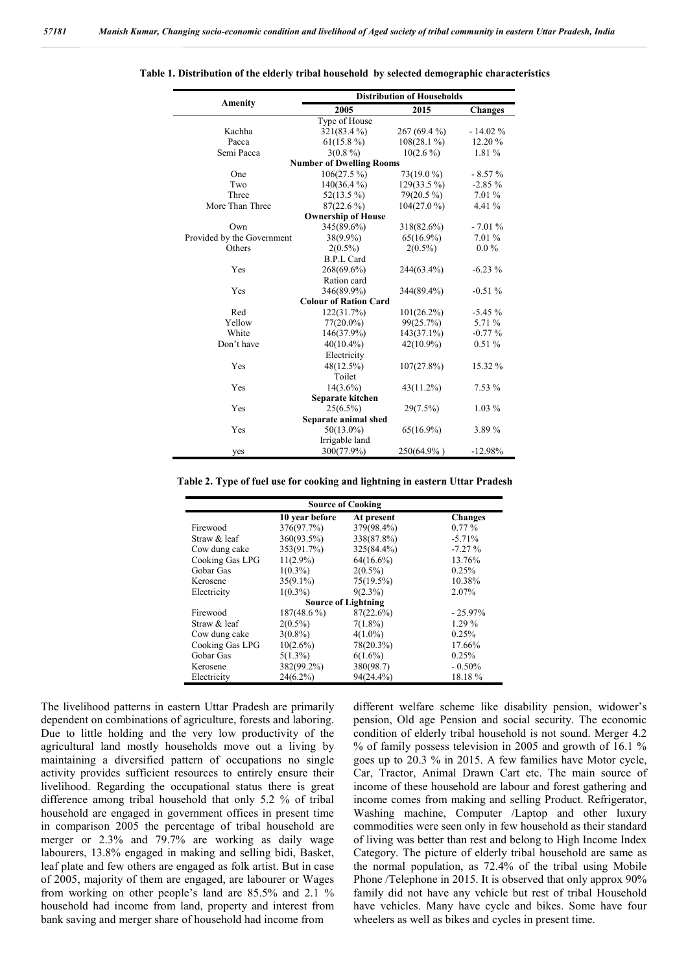|                              | <b>Distribution of Households</b> |               |                |  |  |  |
|------------------------------|-----------------------------------|---------------|----------------|--|--|--|
| <b>Amenity</b>               | 2005                              | 2015          | <b>Changes</b> |  |  |  |
| Type of House                |                                   |               |                |  |  |  |
| Kachha                       | 321(83.4%)                        | 267 (69.4 %)  | $-14.02%$      |  |  |  |
| Pacca                        | $61(15.8\%)$                      | $108(28.1\%)$ | 12.20 %        |  |  |  |
| Semi Pacca                   | $3(0.8\%)$                        | $10(2.6\%)$   | 1.81 %         |  |  |  |
|                              | <b>Number of Dwelling Rooms</b>   |               |                |  |  |  |
| One                          | $106(27.5\%)$                     | 73(19.0 %)    | $-8.57%$       |  |  |  |
| Two                          | $140(36.4\%)$                     | $129(33.5\%)$ | $-2.85%$       |  |  |  |
| Three                        | $52(13.5\%)$                      | $79(20.5\%)$  | 7.01%          |  |  |  |
| More Than Three              | $87(22.6\%)$                      | $104(27.0\%)$ | 4.41 %         |  |  |  |
|                              | <b>Ownership of House</b>         |               |                |  |  |  |
| Own                          | 345(89.6%)                        | 318(82.6%)    | $-7.01%$       |  |  |  |
| Provided by the Government   | $38(9.9\%)$                       | $65(16.9\%)$  | 7.01%          |  |  |  |
| Others                       | $2(0.5\%)$                        | $2(0.5\%)$    | $0.0\%$        |  |  |  |
|                              | <b>B.P.L Card</b>                 |               |                |  |  |  |
| Yes                          | 268(69.6%)                        | 244(63.4%)    | $-6.23 \%$     |  |  |  |
|                              | Ration card                       |               |                |  |  |  |
| Yes                          | 346(89.9%)                        | 344(89.4%)    | $-0.51%$       |  |  |  |
| <b>Colour of Ration Card</b> |                                   |               |                |  |  |  |
| Red                          | 122(31.7%)                        | $101(26.2\%)$ | $-5.45%$       |  |  |  |
| Yellow                       | $77(20.0\%)$                      | 99(25.7%)     | 5.71 %         |  |  |  |
| White                        | 146(37.9%)                        | $143(37.1\%)$ | $-0.77%$       |  |  |  |
| Don't have                   | $40(10.4\%)$                      | $42(10.9\%)$  | 0.51%          |  |  |  |
|                              | Electricity                       |               |                |  |  |  |
| Yes                          | 48(12.5%)                         | $107(27.8\%)$ | 15.32 %        |  |  |  |
|                              | Toilet                            |               |                |  |  |  |
| Yes                          | $14(3.6\%)$                       | $43(11.2\%)$  | $7.53\%$       |  |  |  |
|                              | Separate kitchen                  |               |                |  |  |  |
| Yes                          | $25(6.5\%)$                       | 29(7.5%)      | $1.03\%$       |  |  |  |
|                              | Separate animal shed              |               |                |  |  |  |
| Yes                          | $50(13.0\%)$                      | $65(16.9\%)$  | 3.89%          |  |  |  |
|                              | Irrigable land                    |               |                |  |  |  |
| yes                          | 300(77.9%)                        | 250(64.9%)    | $-12.98%$      |  |  |  |

**Table 1. Distribution of the elderly tribal household by selected demographic characteristics**

**Table 2. Type of fuel use for cooking and lightning in eastern Uttar Pradesh**

| <b>Source of Cooking</b> |                |                            |                |  |
|--------------------------|----------------|----------------------------|----------------|--|
|                          | 10 year before | At present                 | <b>Changes</b> |  |
| Firewood                 | 376(97.7%)     | 379(98.4%)                 | $0.77\%$       |  |
| Straw & leaf             | 360(93.5%)     | 338(87.8%)                 | $-5.71%$       |  |
| Cow dung cake            | 353(91.7%)     | 325(84.4%)                 | $-7.27%$       |  |
| Cooking Gas LPG          | $11(2.9\%)$    | $64(16.6\%)$               | 13.76%         |  |
| Gobar Gas                | $1(0.3\%)$     | $2(0.5\%)$                 | 0.25%          |  |
| Kerosene                 | $35(9.1\%)$    | $75(19.5\%)$               | 10.38%         |  |
| Electricity              | $1(0.3\%)$     | $9(2.3\%)$                 | 2.07%          |  |
|                          |                | <b>Source of Lightning</b> |                |  |
| Firewood                 | $187(48.6\%)$  | 87(22.6%)                  | $-25.97\%$     |  |
| Straw & leaf             | $2(0.5\%)$     | $7(1.8\%)$                 | $1.29\%$       |  |
| Cow dung cake            | $3(0.8\%)$     | $4(1.0\%)$                 | 0.25%          |  |
| Cooking Gas LPG          | $10(2.6\%)$    | $78(20.3\%)$               | 17.66%         |  |
| Gobar Gas                | $5(1.3\%)$     | $6(1.6\%)$                 | 0.25%          |  |
| Kerosene                 | 382(99.2%)     | 380(98.7)                  | $-0.50\%$      |  |
| Electricity              | $24(6.2\%)$    | 94(24.4%)                  | 18.18%         |  |

The livelihood patterns in eastern Uttar Pradesh are primarily dependent on combinations of agriculture, forests and laboring. Due to little holding and the very low productivity of the agricultural land mostly households move out a living by maintaining a diversified pattern of occupations no single activity provides sufficient resources to entirely ensure their livelihood. Regarding the occupational status there is great difference among tribal household that only 5.2 % of tribal household are engaged in government offices in present time in comparison 2005 the percentage of tribal household are merger or 2.3% and 79.7% are working as daily wage labourers, 13.8% engaged in making and selling bidi, Basket, leaf plate and few others are engaged as folk artist. But in case of 2005, majority of them are engaged, are labourer or Wages from working on other people's land are 85.5% and 2.1 % household had income from land, property and interest from bank saving and merger share of household had income from

different welfare scheme like disability pension, widower's pension, Old age Pension and social security. The economic condition of elderly tribal household is not sound. Merger 4.2 % of family possess television in 2005 and growth of 16.1 % goes up to 20.3 % in 2015. A few families have Motor cycle, Car, Tractor, Animal Drawn Cart etc. The main source of income of these household are labour and forest gathering and income comes from making and selling Product. Refrigerator, Washing machine, Computer /Laptop and other luxury commodities were seen only in few household as their standard of living was better than rest and belong to High Income Index Category. The picture of elderly tribal household are same as the normal population, as 72.4% of the tribal using Mobile Phone /Telephone in 2015. It is observed that only approx 90% family did not have any vehicle but rest of tribal Household have vehicles. Many have cycle and bikes. Some have four wheelers as well as bikes and cycles in present time.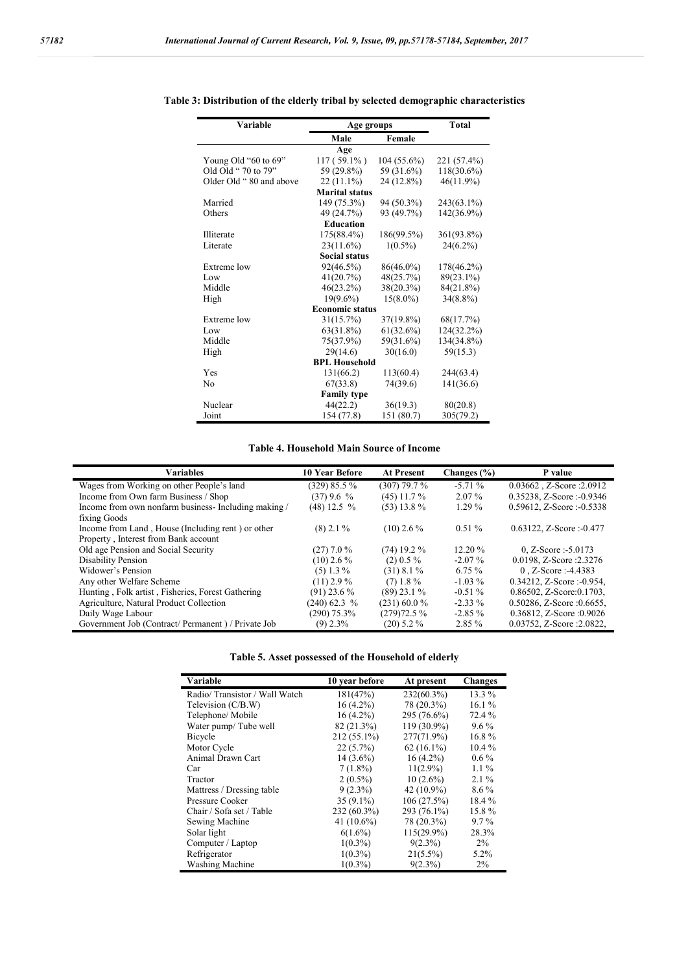| Variable                | Age groups             |               | <b>Total</b>  |  |  |
|-------------------------|------------------------|---------------|---------------|--|--|
|                         | Male                   | Female        |               |  |  |
|                         | Age                    |               |               |  |  |
| Young Old "60 to $69$ " | $117(59.1\%)$          | $104(55.6\%)$ | 221 (57.4%)   |  |  |
| Old Old " 70 to 79"     | 59 (29.8%)             | 59 (31.6%)    | 118(30.6%)    |  |  |
| Older Old "80 and above | $22(11.1\%)$           | 24 (12.8%)    | $46(11.9\%)$  |  |  |
|                         | <b>Marital status</b>  |               |               |  |  |
| Married                 | 149 (75.3%)            | 94 (50.3%)    | $243(63.1\%)$ |  |  |
| Others                  | 49 (24.7%)             | 93 (49.7%)    | 142(36.9%)    |  |  |
|                         | <b>Education</b>       |               |               |  |  |
| Illiterate              | $175(88.4\%)$          | 186(99.5%)    | 361(93.8%)    |  |  |
| Literate                | $23(11.6\%)$           | $1(0.5\%)$    | $24(6.2\%)$   |  |  |
|                         | <b>Social status</b>   |               |               |  |  |
| Extreme low             | $92(46.5\%)$           | 86(46.0%)     | 178(46.2%)    |  |  |
| Low                     | 41(20.7%)              | 48(25.7%)     | $89(23.1\%)$  |  |  |
| Middle                  | $46(23.2\%)$           | 38(20.3%)     | 84(21.8%)     |  |  |
| High                    | $19(9.6\%)$            | $15(8.0\%)$   | $34(8.8\%)$   |  |  |
|                         | <b>Economic status</b> |               |               |  |  |
| Extreme low             | 31(15.7%)              | 37(19.8%)     | 68(17.7%)     |  |  |
| Low                     | $63(31.8\%)$           | 61(32.6%)     | 124(32.2%)    |  |  |
| Middle                  | 75(37.9%)              | 59(31.6%)     | 134(34.8%)    |  |  |
| High                    | 29(14.6)               | 30(16.0)      | 59(15.3)      |  |  |
| <b>BPL Household</b>    |                        |               |               |  |  |
| Yes                     | 131(66.2)              | 113(60.4)     | 244(63.4)     |  |  |
| No                      | 67(33.8)               | 74(39.6)      | 141(36.6)     |  |  |
| <b>Family type</b>      |                        |               |               |  |  |
| Nuclear                 | 44(22.2)               | 36(19.3)      | 80(20.8)      |  |  |
| Joint                   | 154 (77.8)             | 151 (80.7)    | 305(79.2)     |  |  |

## **Table 3: Distribution of the elderly tribal by selected demographic characteristics**

## **Table 4. Household Main Source of Income**

| Variables                                           | <b>10 Year Before</b> | <b>At Present</b> | Changes $(\% )$ | P value                         |
|-----------------------------------------------------|-----------------------|-------------------|-----------------|---------------------------------|
| Wages from Working on other People's land           | (329) 85.5 %          | $(307)$ 79.7%     | $-5.71%$        | 0.03662, Z-Score: 2.0912        |
| Income from Own farm Business / Shop                | (37)9.6%              | $(45)$ 11.7 %     | 2.07 %          | $0.35238$ , Z-Score :-0.9346    |
| Income from own nonfarm business-Including making / | $(48)$ 12.5 %         | $(53)$ 13.8 %     | $1.29\%$        | $0.59612$ , Z-Score : -0.5338   |
| fixing Goods                                        |                       |                   |                 |                                 |
| Income from Land, House (Including rent) or other   | $(8)$ 2.1 %           | $(10)$ 2.6 %      | $0.51\%$        | $0.63122$ , Z-Score : -0.477    |
| Property, Interest from Bank account                |                       |                   |                 |                                 |
| Old age Pension and Social Security                 | $(27)$ 7.0 %          | $(74)$ 19.2 %     | $12.20 \%$      | 0, Z-Score : $-5.0173$          |
| Disability Pension                                  | $(10)$ 2.6 %          | $(2)$ 0.5%        | $-2.07\%$       | 0.0198, Z-Score : 2.3276        |
| Widower's Pension                                   | $(5)$ 1.3%            | $(31)$ 8.1 %      | 6.75 %          | $0$ , Z-Score :-4.4383          |
| Any other Welfare Scheme                            | $(11)$ 2.9 %          | $(7)$ 1.8%        | $-1.03\%$       | $0.34212$ , Z-Score :-0.954,    |
| Hunting, Folk artist, Fisheries, Forest Gathering   | $(91)$ 23.6 %         | $(89)$ 23.1 %     | $-0.51\%$       | $0.86502$ , Z-Score: $0.1703$ , |
| Agriculture, Natural Product Collection             | $(240)$ 62.3 %        | $(231)$ 60.0 %    | $-2.33\%$       | $0.50286$ , Z-Score : 0.6655,   |
| Daily Wage Labour                                   | $(290)$ 75.3%         | (279)72.5%        | $-2.85\%$       | 0.36812, Z-Score :0.9026        |
| Government Job (Contract/Permanent) / Private Job   | $(9)$ 2.3%            | $(20)$ 5.2 %      | 2.85 %          | 0.03752, Z-Score : 2.0822,      |
|                                                     |                       |                   |                 |                                 |

| Table 5. Asset possessed of the Household of elderly |  |  |  |  |  |
|------------------------------------------------------|--|--|--|--|--|
|------------------------------------------------------|--|--|--|--|--|

| Variable                      | 10 year before | At present    | <b>Changes</b> |
|-------------------------------|----------------|---------------|----------------|
| Radio/Transistor / Wall Watch | 181(47%)       | $232(60.3\%)$ | 13.3 %         |
| Television (C/B.W)            | $16(4.2\%)$    | 78 (20.3%)    | 16.1%          |
| Telephone/ Mobile             | $16(4.2\%)$    | 295 (76.6%)   | 72.4 %         |
| Water pump/Tube well          | 82 (21.3%)     | 119 (30.9%)   | $9.6\%$        |
| Bicycle                       | 212 (55.1%)    | 277(71.9%)    | $16.8\%$       |
| Motor Cycle                   | $22(5.7\%)$    | $62(16.1\%)$  | $10.4\%$       |
| Animal Drawn Cart             | $14(3.6\%)$    | $16(4.2\%)$   | $0.6\%$        |
| Car                           | $7(1.8\%)$     | $11(2.9\%)$   | $1.1\%$        |
| Tractor                       | $2(0.5\%)$     | $10(2.6\%)$   | $2.1\%$        |
| Mattress / Dressing table     | $9(2.3\%)$     | 42 $(10.9\%)$ | $8.6\%$        |
| Pressure Cooker               | $35(9.1\%)$    | 106(27.5%)    | 18.4 %         |
| Chair / Sofa set / Table      | 232 (60.3%)    | 293 (76.1%)   | 15.8%          |
| Sewing Machine                | 41 $(10.6\%)$  | 78 (20.3%)    | $9.7\%$        |
| Solar light                   | $6(1.6\%)$     | $115(29.9\%)$ | 28.3%          |
| Computer / Laptop             | $1(0.3\%)$     | $9(2.3\%)$    | $2\%$          |
| Refrigerator                  | $1(0.3\%)$     | $21(5.5\%)$   | 5.2%           |
| Washing Machine               | $1(0.3\%)$     | $9(2.3\%)$    | 2%             |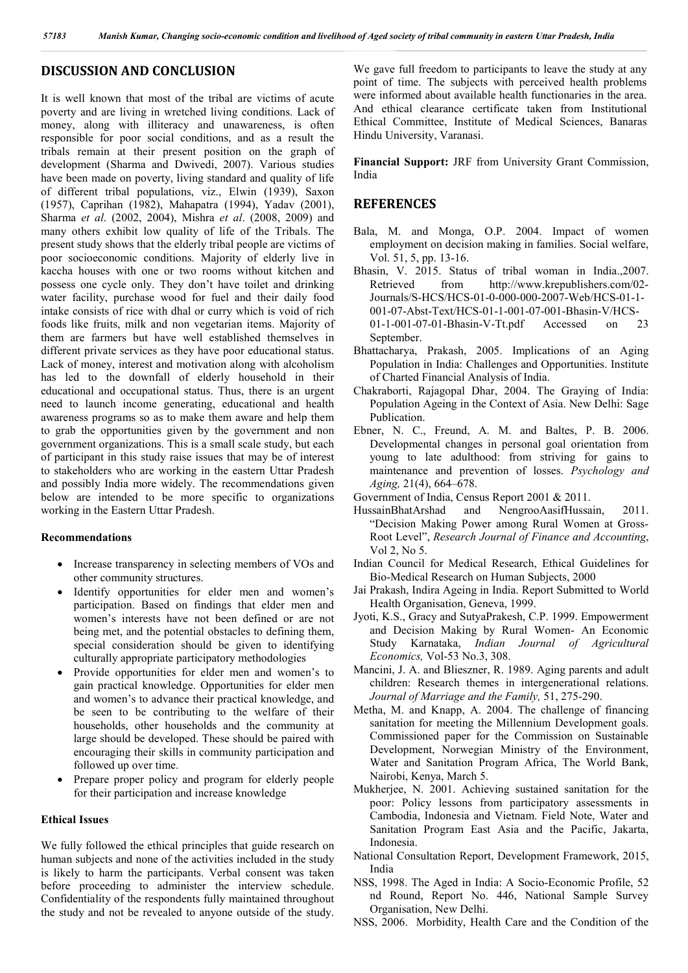# **DISCUSSION AND CONCLUSION**

It is well known that most of the tribal are victims of acute poverty and are living in wretched living conditions. Lack of money, along with illiteracy and unawareness, is often responsible for poor social conditions, and as a result the tribals remain at their present position on the graph of development (Sharma and Dwivedi, 2007). Various studies have been made on poverty, living standard and quality of life of different tribal populations, viz., Elwin (1939), Saxon (1957), Caprihan (1982), Mahapatra (1994), Yadav (2001), Sharma *et al*. (2002, 2004), Mishra *et al*. (2008, 2009) and many others exhibit low quality of life of the Tribals. The present study shows that the elderly tribal people are victims of poor socioeconomic conditions. Majority of elderly live in kaccha houses with one or two rooms without kitchen and possess one cycle only. They don't have toilet and drinking water facility, purchase wood for fuel and their daily food intake consists of rice with dhal or curry which is void of rich foods like fruits, milk and non vegetarian items. Majority of them are farmers but have well established themselves in different private services as they have poor educational status. Lack of money, interest and motivation along with alcoholism has led to the downfall of elderly household in their educational and occupational status. Thus, there is an urgent need to launch income generating, educational and health awareness programs so as to make them aware and help them to grab the opportunities given by the government and non government organizations. This is a small scale study, but each of participant in this study raise issues that may be of interest to stakeholders who are working in the eastern Uttar Pradesh and possibly India more widely. The recommendations given below are intended to be more specific to organizations working in the Eastern Uttar Pradesh.

### **Recommendations**

- Increase transparency in selecting members of VOs and other community structures.
- Identify opportunities for elder men and women's participation. Based on findings that elder men and women's interests have not been defined or are not being met, and the potential obstacles to defining them, special consideration should be given to identifying culturally appropriate participatory methodologies
- Provide opportunities for elder men and women's to gain practical knowledge. Opportunities for elder men and women's to advance their practical knowledge, and be seen to be contributing to the welfare of their households, other households and the community at large should be developed. These should be paired with encouraging their skills in community participation and followed up over time.
- Prepare proper policy and program for elderly people for their participation and increase knowledge

#### **Ethical Issues**

We fully followed the ethical principles that guide research on human subjects and none of the activities included in the study is likely to harm the participants. Verbal consent was taken before proceeding to administer the interview schedule. Confidentiality of the respondents fully maintained throughout the study and not be revealed to anyone outside of the study.

We gave full freedom to participants to leave the study at any point of time. The subjects with perceived health problems were informed about available health functionaries in the area. And ethical clearance certificate taken from Institutional Ethical Committee, Institute of Medical Sciences, Banaras Hindu University, Varanasi.

**Financial Support:** JRF from University Grant Commission, India

# **REFERENCES**

- Bala, M. and Monga, O.P. 2004. Impact of women employment on decision making in families. Social welfare, Vol. 51, 5, pp. 13-16.
- Bhasin, V. 2015. Status of tribal woman in India.,2007. Retrieved from http://www.krepublishers.com/02- Journals/S-HCS/HCS-01-0-000-000-2007-Web/HCS-01-1- 001-07-Abst-Text/HCS-01-1-001-07-001-Bhasin-V/HCS-01-1-001-07-01-Bhasin-V-Tt.pdf Accessed on 23 September.
- Bhattacharya, Prakash, 2005. Implications of an Aging Population in India: Challenges and Opportunities. Institute of Charted Financial Analysis of India.
- Chakraborti, Rajagopal Dhar, 2004. The Graying of India: Population Ageing in the Context of Asia. New Delhi: Sage Publication.
- Ebner, N. C., Freund, A. M. and Baltes, P. B. 2006. Developmental changes in personal goal orientation from young to late adulthood: from striving for gains to maintenance and prevention of losses. *Psychology and Aging,* 21(4), 664–678.
- Government of India, Census Report 2001 & 2011.
- HussainBhatArshad and NengrooAasifHussain, 2011. "Decision Making Power among Rural Women at Gross-Root Level", *Research Journal of Finance and Accounting*, Vol 2, No 5.
- Indian Council for Medical Research, Ethical Guidelines for Bio-Medical Research on Human Subjects, 2000
- Jai Prakash, Indira Ageing in India. Report Submitted to World Health Organisation, Geneva, 1999.
- Jyoti, K.S., Gracy and SutyaPrakesh, C.P. 1999. Empowerment and Decision Making by Rural Women- An Economic Study Karnataka, *Indian Journal of Agricultural Economics,* Vol-53 No.3, 308.
- Mancini, J. A. and Blieszner, R. 1989. Aging parents and adult children: Research themes in intergenerational relations. *Journal of Marriage and the Family,* 51, 275-290.
- Metha, M. and Knapp, A. 2004. The challenge of financing sanitation for meeting the Millennium Development goals. Commissioned paper for the Commission on Sustainable Development, Norwegian Ministry of the Environment, Water and Sanitation Program Africa, The World Bank, Nairobi, Kenya, March 5.
- Mukherjee, N. 2001. Achieving sustained sanitation for the poor: Policy lessons from participatory assessments in Cambodia, Indonesia and Vietnam. Field Note, Water and Sanitation Program East Asia and the Pacific, Jakarta, Indonesia.
- National Consultation Report, Development Framework, 2015, India
- NSS, 1998. The Aged in India: A Socio-Economic Profile, 52 nd Round, Report No. 446, National Sample Survey Organisation, New Delhi.
- NSS, 2006. Morbidity, Health Care and the Condition of the